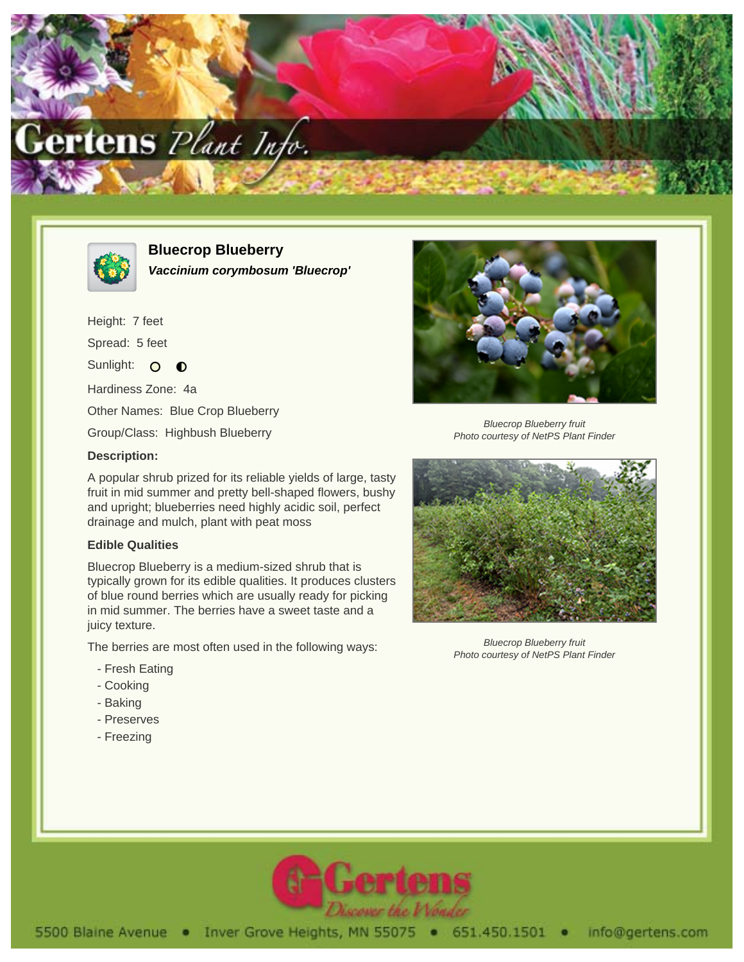



**Bluecrop Blueberry Vaccinium corymbosum 'Bluecrop'**

Height: 7 feet Spread: 5 feet Sunlight: O  $\bullet$ Hardiness Zone: 4a Other Names: Blue Crop Blueberry Group/Class: Highbush Blueberry



Bluecrop Blueberry fruit Photo courtesy of NetPS Plant Finder

## **Description:**

A popular shrub prized for its reliable yields of large, tasty fruit in mid summer and pretty bell-shaped flowers, bushy and upright; blueberries need highly acidic soil, perfect drainage and mulch, plant with peat moss

## **Edible Qualities**

Bluecrop Blueberry is a medium-sized shrub that is typically grown for its edible qualities. It produces clusters of blue round berries which are usually ready for picking in mid summer. The berries have a sweet taste and a juicy texture.

The berries are most often used in the following ways:

- Fresh Eating
- Cooking
- Baking
- Preserves
- Freezing



Bluecrop Blueberry fruit Photo courtesy of NetPS Plant Finder